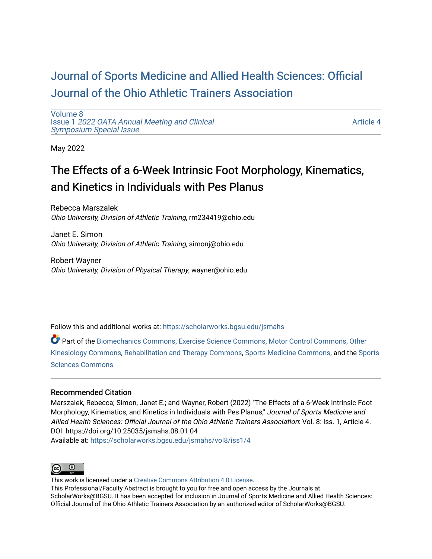# [Journal of Sports Medicine and Allied Health Sciences: Official](https://scholarworks.bgsu.edu/jsmahs)  [Journal of the Ohio Athletic Trainers Association](https://scholarworks.bgsu.edu/jsmahs)

[Volume 8](https://scholarworks.bgsu.edu/jsmahs/vol8) Issue 1 [2022 OATA Annual Meeting and Clinical](https://scholarworks.bgsu.edu/jsmahs/vol8/iss1) [Symposium Special Issue](https://scholarworks.bgsu.edu/jsmahs/vol8/iss1)

[Article 4](https://scholarworks.bgsu.edu/jsmahs/vol8/iss1/4) 

May 2022

# The Effects of a 6-Week Intrinsic Foot Morphology, Kinematics, and Kinetics in Individuals with Pes Planus

Rebecca Marszalek Ohio University, Division of Athletic Training, rm234419@ohio.edu

Janet E. Simon Ohio University, Division of Athletic Training, simonj@ohio.edu

Robert Wayner Ohio University, Division of Physical Therapy, wayner@ohio.edu

Follow this and additional works at: [https://scholarworks.bgsu.edu/jsmahs](https://scholarworks.bgsu.edu/jsmahs?utm_source=scholarworks.bgsu.edu%2Fjsmahs%2Fvol8%2Fiss1%2F4&utm_medium=PDF&utm_campaign=PDFCoverPages)

Part of the [Biomechanics Commons,](https://network.bepress.com/hgg/discipline/43?utm_source=scholarworks.bgsu.edu%2Fjsmahs%2Fvol8%2Fiss1%2F4&utm_medium=PDF&utm_campaign=PDFCoverPages) [Exercise Science Commons](https://network.bepress.com/hgg/discipline/1091?utm_source=scholarworks.bgsu.edu%2Fjsmahs%2Fvol8%2Fiss1%2F4&utm_medium=PDF&utm_campaign=PDFCoverPages), [Motor Control Commons](https://network.bepress.com/hgg/discipline/45?utm_source=scholarworks.bgsu.edu%2Fjsmahs%2Fvol8%2Fiss1%2F4&utm_medium=PDF&utm_campaign=PDFCoverPages), [Other](https://network.bepress.com/hgg/discipline/47?utm_source=scholarworks.bgsu.edu%2Fjsmahs%2Fvol8%2Fiss1%2F4&utm_medium=PDF&utm_campaign=PDFCoverPages)  [Kinesiology Commons,](https://network.bepress.com/hgg/discipline/47?utm_source=scholarworks.bgsu.edu%2Fjsmahs%2Fvol8%2Fiss1%2F4&utm_medium=PDF&utm_campaign=PDFCoverPages) [Rehabilitation and Therapy Commons](https://network.bepress.com/hgg/discipline/749?utm_source=scholarworks.bgsu.edu%2Fjsmahs%2Fvol8%2Fiss1%2F4&utm_medium=PDF&utm_campaign=PDFCoverPages), [Sports Medicine Commons](https://network.bepress.com/hgg/discipline/1331?utm_source=scholarworks.bgsu.edu%2Fjsmahs%2Fvol8%2Fiss1%2F4&utm_medium=PDF&utm_campaign=PDFCoverPages), and the [Sports](https://network.bepress.com/hgg/discipline/759?utm_source=scholarworks.bgsu.edu%2Fjsmahs%2Fvol8%2Fiss1%2F4&utm_medium=PDF&utm_campaign=PDFCoverPages)  [Sciences Commons](https://network.bepress.com/hgg/discipline/759?utm_source=scholarworks.bgsu.edu%2Fjsmahs%2Fvol8%2Fiss1%2F4&utm_medium=PDF&utm_campaign=PDFCoverPages) 

#### Recommended Citation

Marszalek, Rebecca; Simon, Janet E.; and Wayner, Robert (2022) "The Effects of a 6-Week Intrinsic Foot Morphology, Kinematics, and Kinetics in Individuals with Pes Planus," Journal of Sports Medicine and Allied Health Sciences: Official Journal of the Ohio Athletic Trainers Association: Vol. 8: Iss. 1, Article 4. DOI: https://doi.org/10.25035/jsmahs.08.01.04 Available at: [https://scholarworks.bgsu.edu/jsmahs/vol8/iss1/4](https://scholarworks.bgsu.edu/jsmahs/vol8/iss1/4?utm_source=scholarworks.bgsu.edu%2Fjsmahs%2Fvol8%2Fiss1%2F4&utm_medium=PDF&utm_campaign=PDFCoverPages)



This work is licensed under a [Creative Commons Attribution 4.0 License](https://creativecommons.org/licenses/by/4.0/). This Professional/Faculty Abstract is brought to you for free and open access by the Journals at ScholarWorks@BGSU. It has been accepted for inclusion in Journal of Sports Medicine and Allied Health Sciences: Official Journal of the Ohio Athletic Trainers Association by an authorized editor of ScholarWorks@BGSU.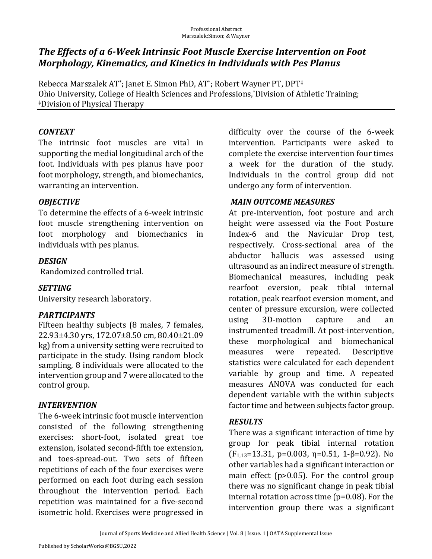# The Effects of a 6-Week Intrinsic Foot Muscle Exercise Intervention on Foot *Morphology, Kinematics, and Kinetics in Individuals with Pes Planus*

Rebecca Marszalek AT\*; Janet E. Simon PhD, AT\*; Robert Wayner PT, DPT<sup>‡</sup> Ohio University, College of Health Sciences and Professions,\*Division of Athletic Training; ‡Division of Physical Therapy 

# *CONTEXT*

The intrinsic foot muscles are vital in supporting the medial longitudinal arch of the foot. Individuals with pes planus have poor foot morphology, strength, and biomechanics, warranting an intervention.

# *OBJECTIVE*

To determine the effects of a 6-week intrinsic foot muscle strengthening intervention on foot morphology and biomechanics in individuals with pes planus.

### *DESIGN*

Randomized controlled trial.

#### *SETTING*

University research laboratory.

# *PARTICIPANTS*

Fifteen healthy subjects (8 males, 7 females,  $22.93\pm4.30$  yrs,  $172.07\pm8.50$  cm,  $80.40\pm21.09$ kg) from a university setting were recruited to participate in the study. Using random block sampling, 8 individuals were allocated to the intervention group and 7 were allocated to the control group.

#### *INTERVENTION*

The 6-week intrinsic foot muscle intervention consisted of the following strengthening exercises: short-foot, isolated great toe extension, isolated second-fifth toe extension, and toes-spread-out. Two sets of fifteen repetitions of each of the four exercises were performed on each foot during each session throughout the intervention period. Each repetition was maintained for a five-second isometric hold. Exercises were progressed in difficulty over the course of the 6-week intervention. Participants were asked to complete the exercise intervention four times a week for the duration of the study. Individuals in the control group did not undergo any form of intervention.

#### *MAIN.OUTCOME.MEASURES*

At pre-intervention, foot posture and arch height were assessed via the Foot Posture Index-6 and the Navicular Drop test, respectively. Cross-sectional area of the abductor hallucis was assessed using ultrasound as an indirect measure of strength. Biomechanical measures, including peak rearfoot eversion, peak tibial internal rotation, peak rearfoot eversion moment, and center of pressure excursion, were collected using 3D-motion capture and an instrumented treadmill. At post-intervention, these morphological and biomechanical measures were repeated. Descriptive statistics were calculated for each dependent variable by group and time. A repeated measures ANOVA was conducted for each dependent variable with the within subiects factor time and between subjects factor group.

# *RESULTS*

There was a significant interaction of time by group for peak tibial internal rotation  $(F_{1,13}=13.31, p=0.003, \eta=0.51, 1-\beta=0.92)$ . No other variables had a significant interaction or main effect ( $p>0.05$ ). For the control group there was no significant change in peak tibial internal rotation across time  $(p=0.08)$ . For the intervention group there was a significant